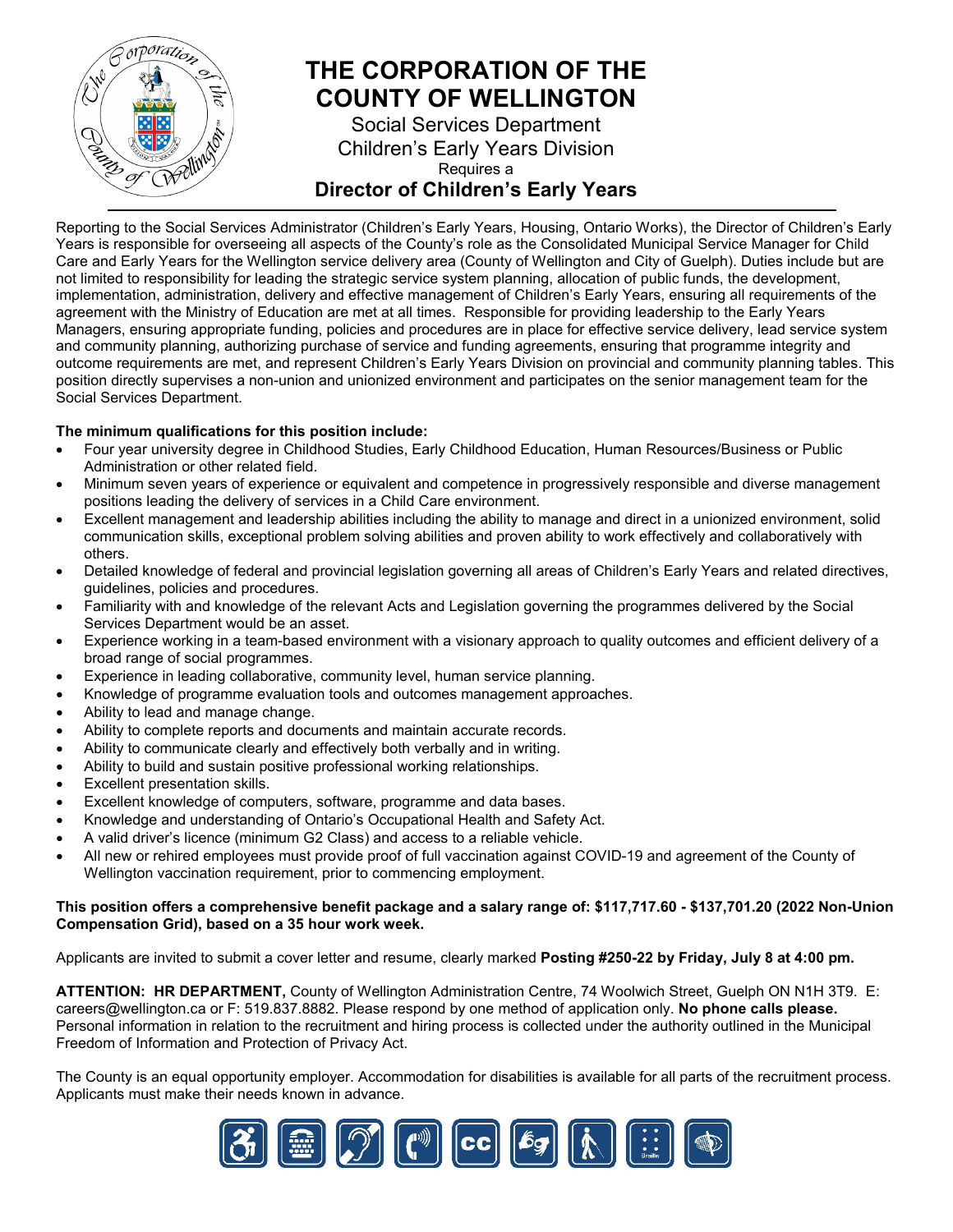

# **THE CORPORATION OF THE COUNTY OF WELLINGTON**

Social Services Department Children's Early Years Division Requires a **Director of Children's Early Years**

Reporting to the Social Services Administrator (Children's Early Years, Housing, Ontario Works), the Director of Children's Early Years is responsible for overseeing all aspects of the County's role as the Consolidated Municipal Service Manager for Child Care and Early Years for the Wellington service delivery area (County of Wellington and City of Guelph). Duties include but are not limited to responsibility for leading the strategic service system planning, allocation of public funds, the development, implementation, administration, delivery and effective management of Children's Early Years, ensuring all requirements of the agreement with the Ministry of Education are met at all times. Responsible for providing leadership to the Early Years Managers, ensuring appropriate funding, policies and procedures are in place for effective service delivery, lead service system and community planning, authorizing purchase of service and funding agreements, ensuring that programme integrity and outcome requirements are met, and represent Children's Early Years Division on provincial and community planning tables. This position directly supervises a non-union and unionized environment and participates on the senior management team for the Social Services Department.

#### **The minimum qualifications for this position include:**

- Four year university degree in Childhood Studies, Early Childhood Education, Human Resources/Business or Public Administration or other related field.
- Minimum seven years of experience or equivalent and competence in progressively responsible and diverse management positions leading the delivery of services in a Child Care environment.
- Excellent management and leadership abilities including the ability to manage and direct in a unionized environment, solid communication skills, exceptional problem solving abilities and proven ability to work effectively and collaboratively with others.
- Detailed knowledge of federal and provincial legislation governing all areas of Children's Early Years and related directives, guidelines, policies and procedures.
- Familiarity with and knowledge of the relevant Acts and Legislation governing the programmes delivered by the Social Services Department would be an asset.
- Experience working in a team-based environment with a visionary approach to quality outcomes and efficient delivery of a broad range of social programmes.
- Experience in leading collaborative, community level, human service planning.
- Knowledge of programme evaluation tools and outcomes management approaches.
- Ability to lead and manage change.
- Ability to complete reports and documents and maintain accurate records.
- Ability to communicate clearly and effectively both verbally and in writing.
- Ability to build and sustain positive professional working relationships.
- Excellent presentation skills.
- Excellent knowledge of computers, software, programme and data bases.
- Knowledge and understanding of Ontario's Occupational Health and Safety Act.
- A valid driver's licence (minimum G2 Class) and access to a reliable vehicle.
- All new or rehired employees must provide proof of full vaccination against COVID-19 and agreement of the County of Wellington vaccination requirement, prior to commencing employment.

#### **This position offers a comprehensive benefit package and a salary range of: \$117,717.60 - \$137,701.20 (2022 Non-Union Compensation Grid), based on a 35 hour work week.**

Applicants are invited to submit a cover letter and resume, clearly marked **Posting #250-22 by Friday, July 8 at 4:00 pm.**

**ATTENTION: HR DEPARTMENT,** County of Wellington Administration Centre, 74 Woolwich Street, Guelph ON N1H 3T9. E: [careers@wellington.ca](mailto:careers@wellington.ca) or F: 519.837.8882. Please respond by one method of application only. **No phone calls please.**  Personal information in relation to the recruitment and hiring process is collected under the authority outlined in the Municipal Freedom of Information and Protection of Privacy Act.

The County is an equal opportunity employer. Accommodation for disabilities is available for all parts of the recruitment process. Applicants must make their needs known in advance.

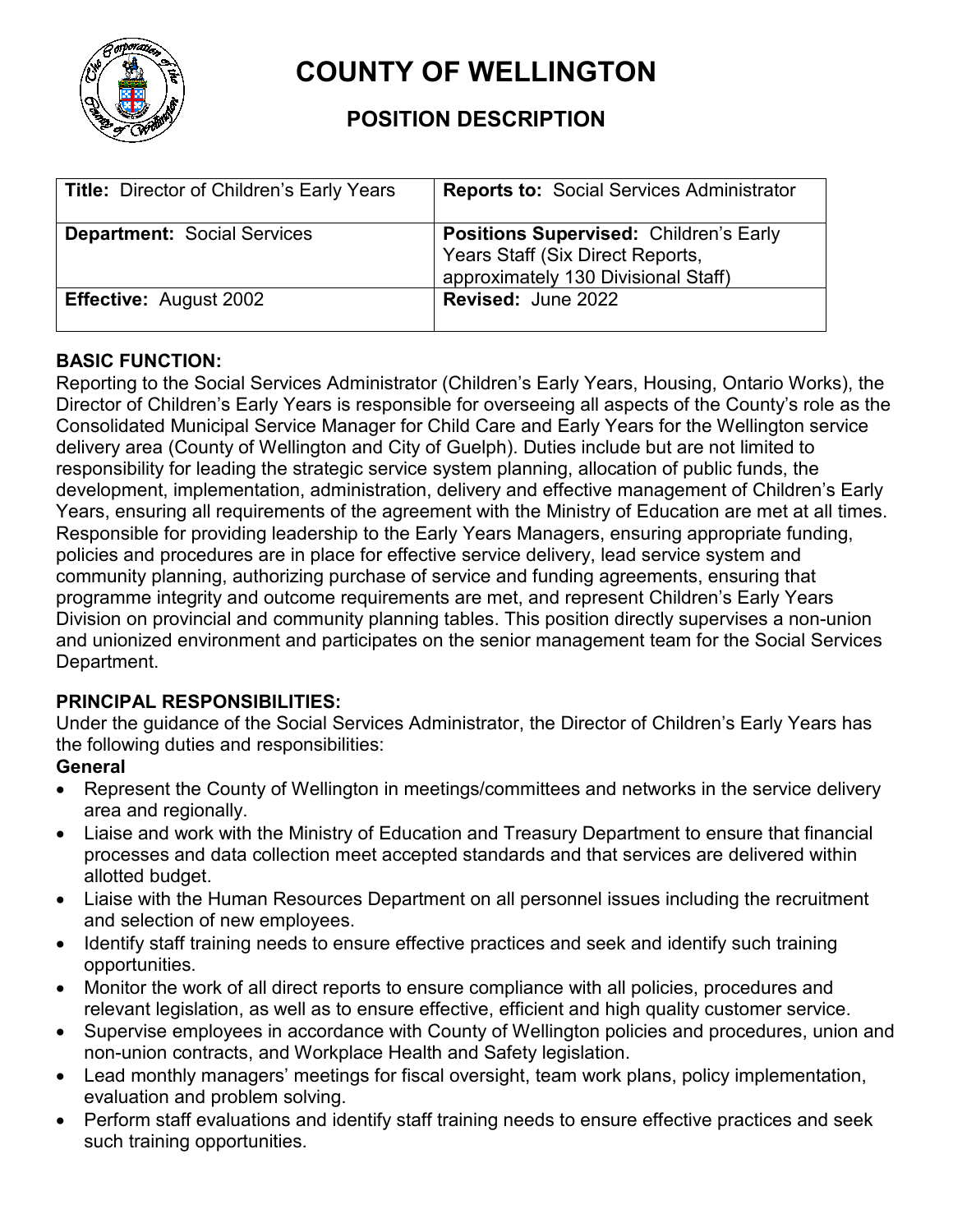

# **COUNTY OF WELLINGTON**

# **POSITION DESCRIPTION**

| Title: Director of Children's Early Years | <b>Reports to: Social Services Administrator</b>                                                                         |
|-------------------------------------------|--------------------------------------------------------------------------------------------------------------------------|
| <b>Department: Social Services</b>        | <b>Positions Supervised: Children's Early</b><br>Years Staff (Six Direct Reports,<br>approximately 130 Divisional Staff) |
| <b>Effective: August 2002</b>             | <b>Revised: June 2022</b>                                                                                                |

#### **BASIC FUNCTION:**

Reporting to the Social Services Administrator (Children's Early Years, Housing, Ontario Works), the Director of Children's Early Years is responsible for overseeing all aspects of the County's role as the Consolidated Municipal Service Manager for Child Care and Early Years for the Wellington service delivery area (County of Wellington and City of Guelph). Duties include but are not limited to responsibility for leading the strategic service system planning, allocation of public funds, the development, implementation, administration, delivery and effective management of Children's Early Years, ensuring all requirements of the agreement with the Ministry of Education are met at all times. Responsible for providing leadership to the Early Years Managers, ensuring appropriate funding, policies and procedures are in place for effective service delivery, lead service system and community planning, authorizing purchase of service and funding agreements, ensuring that programme integrity and outcome requirements are met, and represent Children's Early Years Division on provincial and community planning tables. This position directly supervises a non-union and unionized environment and participates on the senior management team for the Social Services Department.

#### **PRINCIPAL RESPONSIBILITIES:**

Under the guidance of the Social Services Administrator, the Director of Children's Early Years has the following duties and responsibilities:

#### **General**

- Represent the County of Wellington in meetings/committees and networks in the service delivery area and regionally.
- Liaise and work with the Ministry of Education and Treasury Department to ensure that financial processes and data collection meet accepted standards and that services are delivered within allotted budget.
- Liaise with the Human Resources Department on all personnel issues including the recruitment and selection of new employees.
- Identify staff training needs to ensure effective practices and seek and identify such training opportunities.
- Monitor the work of all direct reports to ensure compliance with all policies, procedures and relevant legislation, as well as to ensure effective, efficient and high quality customer service.
- Supervise employees in accordance with County of Wellington policies and procedures, union and non-union contracts, and Workplace Health and Safety legislation.
- Lead monthly managers' meetings for fiscal oversight, team work plans, policy implementation, evaluation and problem solving.
- Perform staff evaluations and identify staff training needs to ensure effective practices and seek such training opportunities.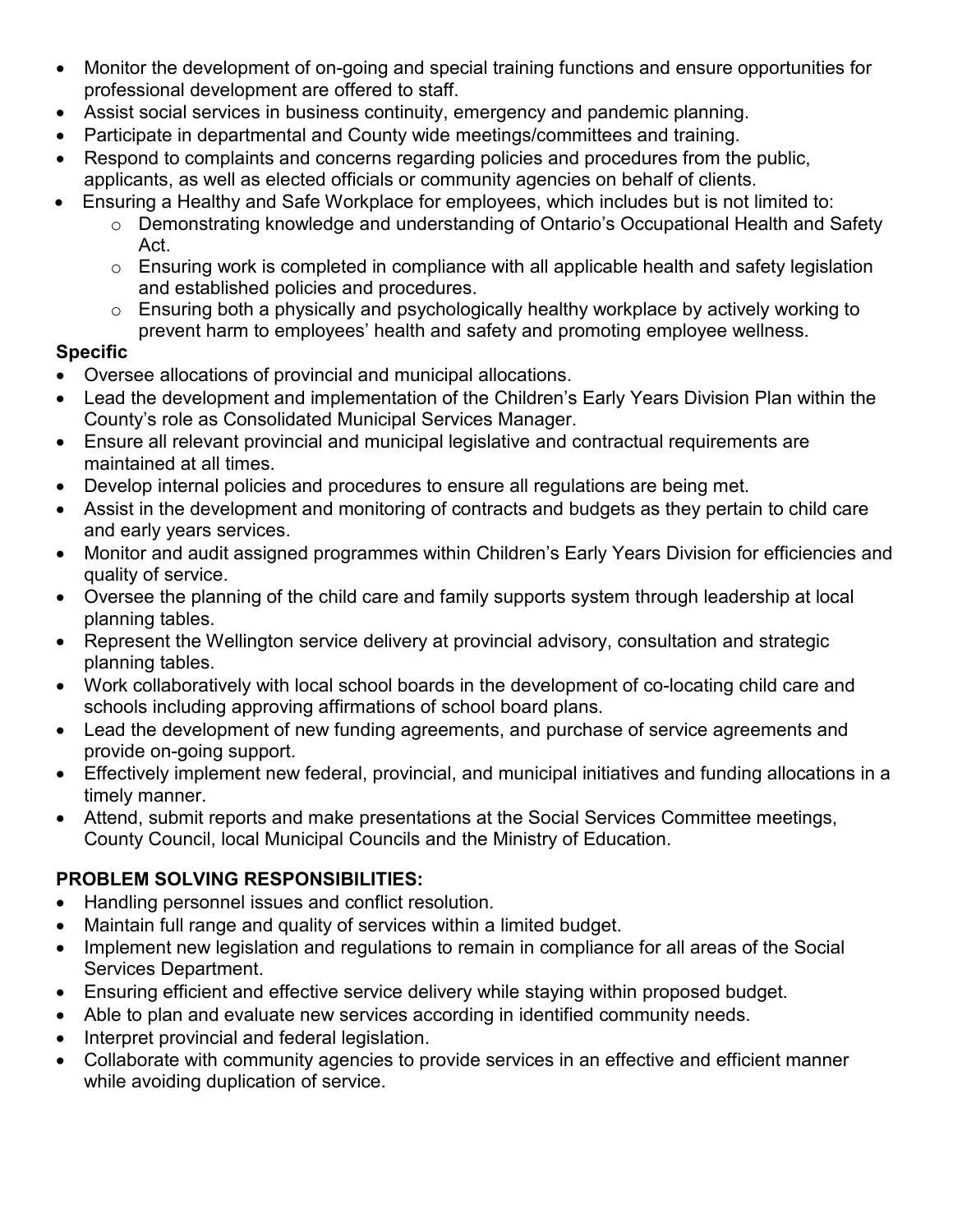- Monitor the development of on-going and special training functions and ensure opportunities for professional development are offered to staff.
- Assist social services in business continuity, emergency and pandemic planning.
- Participate in departmental and County wide meetings/committees and training.
- Respond to complaints and concerns regarding policies and procedures from the public, applicants, as well as elected officials or community agencies on behalf of clients.
- Ensuring a Healthy and Safe Workplace for employees, which includes but is not limited to: o Demonstrating knowledge and understanding of Ontario's Occupational Health and Safety
	- Act.
	- $\circ$  Ensuring work is completed in compliance with all applicable health and safety legislation and established policies and procedures.
	- o Ensuring both a physically and psychologically healthy workplace by actively working to prevent harm to employees' health and safety and promoting employee wellness.

### **Specific**

- Oversee allocations of provincial and municipal allocations.
- Lead the development and implementation of the Children's Early Years Division Plan within the County's role as Consolidated Municipal Services Manager.
- Ensure all relevant provincial and municipal legislative and contractual requirements are maintained at all times.
- Develop internal policies and procedures to ensure all regulations are being met.
- Assist in the development and monitoring of contracts and budgets as they pertain to child care and early years services.
- Monitor and audit assigned programmes within Children's Early Years Division for efficiencies and quality of service.
- Oversee the planning of the child care and family supports system through leadership at local planning tables.
- Represent the Wellington service delivery at provincial advisory, consultation and strategic planning tables.
- Work collaboratively with local school boards in the development of co-locating child care and schools including approving affirmations of school board plans.
- Lead the development of new funding agreements, and purchase of service agreements and provide on-going support.
- Effectively implement new federal, provincial, and municipal initiatives and funding allocations in a timely manner.
- Attend, submit reports and make presentations at the Social Services Committee meetings, County Council, local Municipal Councils and the Ministry of Education.

# **PROBLEM SOLVING RESPONSIBILITIES:**

- Handling personnel issues and conflict resolution.
- Maintain full range and quality of services within a limited budget.
- Implement new legislation and regulations to remain in compliance for all areas of the Social Services Department.
- Ensuring efficient and effective service delivery while staying within proposed budget.
- Able to plan and evaluate new services according in identified community needs.
- Interpret provincial and federal legislation.
- Collaborate with community agencies to provide services in an effective and efficient manner while avoiding duplication of service.